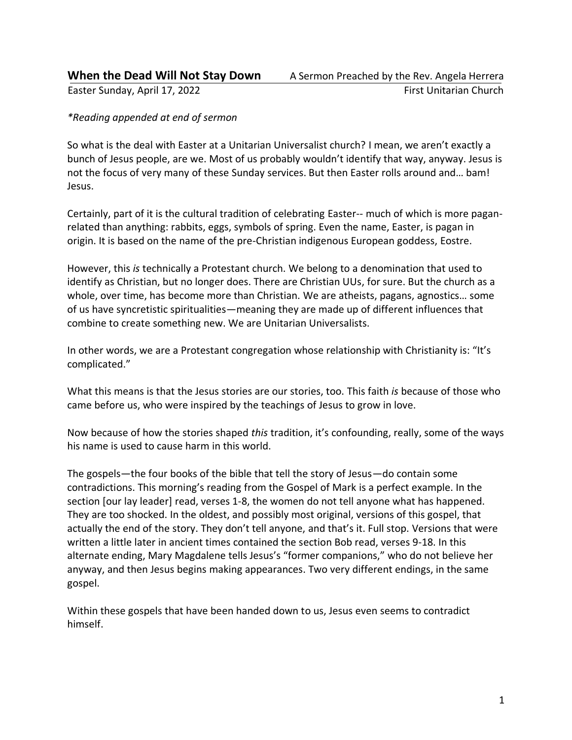#### *\*Reading appended at end of sermon*

So what is the deal with Easter at a Unitarian Universalist church? I mean, we aren't exactly a bunch of Jesus people, are we. Most of us probably wouldn't identify that way, anyway. Jesus is not the focus of very many of these Sunday services. But then Easter rolls around and… bam! Jesus.

Certainly, part of it is the cultural tradition of celebrating Easter-- much of which is more paganrelated than anything: rabbits, eggs, symbols of spring. Even the name, Easter, is pagan in origin. It is based on the name of the pre-Christian indigenous European goddess, Eostre.

However, this *is* technically a Protestant church. We belong to a denomination that used to identify as Christian, but no longer does. There are Christian UUs, for sure. But the church as a whole, over time, has become more than Christian. We are atheists, pagans, agnostics… some of us have syncretistic spiritualities—meaning they are made up of different influences that combine to create something new. We are Unitarian Universalists.

In other words, we are a Protestant congregation whose relationship with Christianity is: "It's complicated."

What this means is that the Jesus stories are our stories, too. This faith *is* because of those who came before us, who were inspired by the teachings of Jesus to grow in love.

Now because of how the stories shaped *this* tradition, it's confounding, really, some of the ways his name is used to cause harm in this world.

The gospels—the four books of the bible that tell the story of Jesus—do contain some contradictions. This morning's reading from the Gospel of Mark is a perfect example. In the section [our lay leader] read, verses 1-8, the women do not tell anyone what has happened. They are too shocked. In the oldest, and possibly most original, versions of this gospel, that actually the end of the story. They don't tell anyone, and that's it. Full stop. Versions that were written a little later in ancient times contained the section Bob read, verses 9-18. In this alternate ending, Mary Magdalene tells Jesus's "former companions," who do not believe her anyway, and then Jesus begins making appearances. Two very different endings, in the same gospel.

Within these gospels that have been handed down to us, Jesus even seems to contradict himself.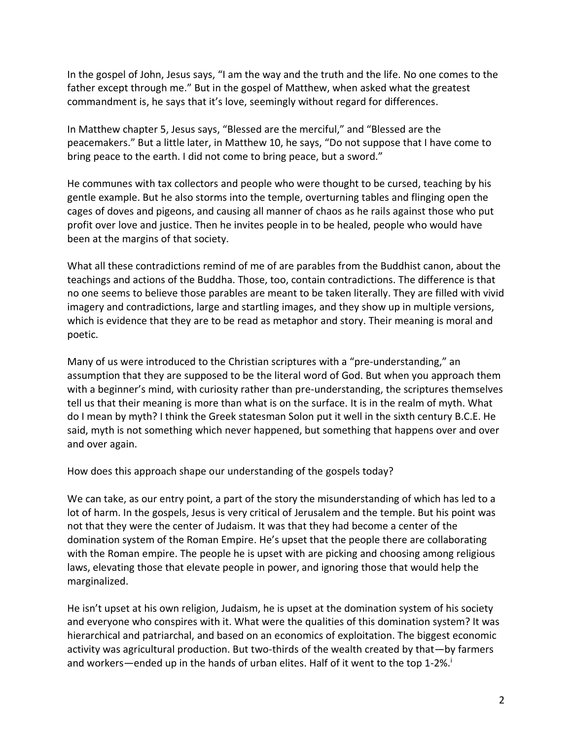In the gospel of John, Jesus says, "I am the way and the truth and the life. No one comes to the father except through me." But in the gospel of Matthew, when asked what the greatest commandment is, he says that it's love, seemingly without regard for differences.

In Matthew chapter 5, Jesus says, "Blessed are the merciful," and "Blessed are the peacemakers." But a little later, in Matthew 10, he says, "Do not suppose that I have come to bring peace to the earth. I did not come to bring peace, but a sword."

He communes with tax collectors and people who were thought to be cursed, teaching by his gentle example. But he also storms into the temple, overturning tables and flinging open the cages of doves and pigeons, and causing all manner of chaos as he rails against those who put profit over love and justice. Then he invites people in to be healed, people who would have been at the margins of that society.

What all these contradictions remind of me of are parables from the Buddhist canon, about the teachings and actions of the Buddha. Those, too, contain contradictions. The difference is that no one seems to believe those parables are meant to be taken literally. They are filled with vivid imagery and contradictions, large and startling images, and they show up in multiple versions, which is evidence that they are to be read as metaphor and story. Their meaning is moral and poetic.

Many of us were introduced to the Christian scriptures with a "pre-understanding," an assumption that they are supposed to be the literal word of God. But when you approach them with a beginner's mind, with curiosity rather than pre-understanding, the scriptures themselves tell us that their meaning is more than what is on the surface. It is in the realm of myth. What do I mean by myth? I think the Greek statesman Solon put it well in the sixth century B.C.E. He said, myth is not something which never happened, but something that happens over and over and over again.

How does this approach shape our understanding of the gospels today?

We can take, as our entry point, a part of the story the misunderstanding of which has led to a lot of harm. In the gospels, Jesus is very critical of Jerusalem and the temple. But his point was not that they were the center of Judaism. It was that they had become a center of the domination system of the Roman Empire. He's upset that the people there are collaborating with the Roman empire. The people he is upset with are picking and choosing among religious laws, elevating those that elevate people in power, and ignoring those that would help the marginalized.

He isn't upset at his own religion, Judaism, he is upset at the domination system of his society and everyone who conspires with it. What were the qualities of this domination system? It was hierarchical and patriarchal, and based on an economics of exploitation. The biggest economic activity was agricultural production. But two-thirds of the wealth created by that—by farmers and workers—ended up in the hands of urban elites. Half of it went to the top 1-2%.<sup>i</sup>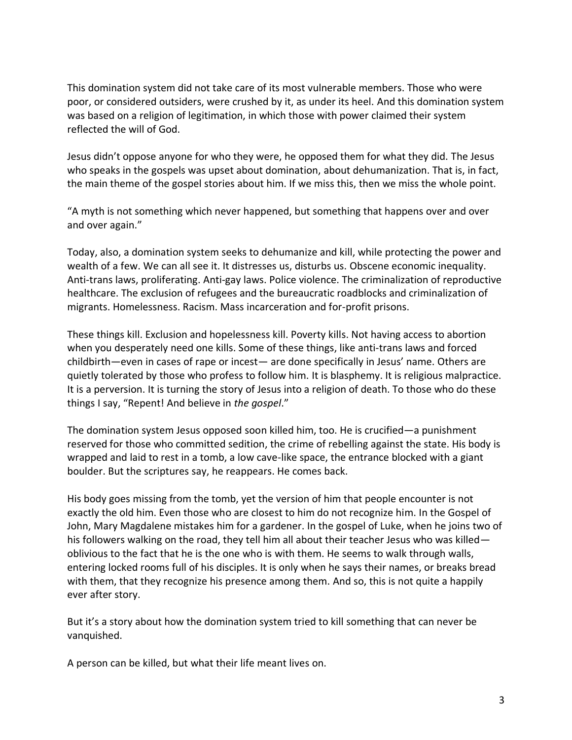This domination system did not take care of its most vulnerable members. Those who were poor, or considered outsiders, were crushed by it, as under its heel. And this domination system was based on a religion of legitimation, in which those with power claimed their system reflected the will of God.

Jesus didn't oppose anyone for who they were, he opposed them for what they did. The Jesus who speaks in the gospels was upset about domination, about dehumanization. That is, in fact, the main theme of the gospel stories about him. If we miss this, then we miss the whole point.

"A myth is not something which never happened, but something that happens over and over and over again."

Today, also, a domination system seeks to dehumanize and kill, while protecting the power and wealth of a few. We can all see it. It distresses us, disturbs us. Obscene economic inequality. Anti-trans laws, proliferating. Anti-gay laws. Police violence. The criminalization of reproductive healthcare. The exclusion of refugees and the bureaucratic roadblocks and criminalization of migrants. Homelessness. Racism. Mass incarceration and for-profit prisons.

These things kill. Exclusion and hopelessness kill. Poverty kills. Not having access to abortion when you desperately need one kills. Some of these things, like anti-trans laws and forced childbirth—even in cases of rape or incest— are done specifically in Jesus' name. Others are quietly tolerated by those who profess to follow him. It is blasphemy. It is religious malpractice. It is a perversion. It is turning the story of Jesus into a religion of death. To those who do these things I say, "Repent! And believe in *the gospel*."

The domination system Jesus opposed soon killed him, too. He is crucified—a punishment reserved for those who committed sedition, the crime of rebelling against the state. His body is wrapped and laid to rest in a tomb, a low cave-like space, the entrance blocked with a giant boulder. But the scriptures say, he reappears. He comes back.

His body goes missing from the tomb, yet the version of him that people encounter is not exactly the old him. Even those who are closest to him do not recognize him. In the Gospel of John, Mary Magdalene mistakes him for a gardener. In the gospel of Luke, when he joins two of his followers walking on the road, they tell him all about their teacher Jesus who was killed oblivious to the fact that he is the one who is with them. He seems to walk through walls, entering locked rooms full of his disciples. It is only when he says their names, or breaks bread with them, that they recognize his presence among them. And so, this is not quite a happily ever after story.

But it's a story about how the domination system tried to kill something that can never be vanquished.

A person can be killed, but what their life meant lives on.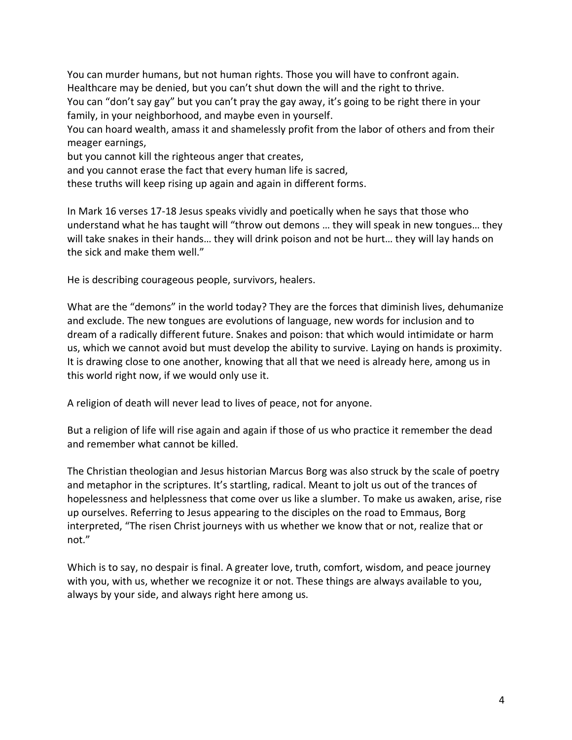You can murder humans, but not human rights. Those you will have to confront again. Healthcare may be denied, but you can't shut down the will and the right to thrive. You can "don't say gay" but you can't pray the gay away, it's going to be right there in your family, in your neighborhood, and maybe even in yourself. You can hoard wealth, amass it and shamelessly profit from the labor of others and from their meager earnings, but you cannot kill the righteous anger that creates, and you cannot erase the fact that every human life is sacred,

these truths will keep rising up again and again in different forms.

In Mark 16 verses 17-18 Jesus speaks vividly and poetically when he says that those who understand what he has taught will "throw out demons … they will speak in new tongues… they will take snakes in their hands… they will drink poison and not be hurt… they will lay hands on the sick and make them well."

He is describing courageous people, survivors, healers.

What are the "demons" in the world today? They are the forces that diminish lives, dehumanize and exclude. The new tongues are evolutions of language, new words for inclusion and to dream of a radically different future. Snakes and poison: that which would intimidate or harm us, which we cannot avoid but must develop the ability to survive. Laying on hands is proximity. It is drawing close to one another, knowing that all that we need is already here, among us in this world right now, if we would only use it.

A religion of death will never lead to lives of peace, not for anyone.

But a religion of life will rise again and again if those of us who practice it remember the dead and remember what cannot be killed.

The Christian theologian and Jesus historian Marcus Borg was also struck by the scale of poetry and metaphor in the scriptures. It's startling, radical. Meant to jolt us out of the trances of hopelessness and helplessness that come over us like a slumber. To make us awaken, arise, rise up ourselves. Referring to Jesus appearing to the disciples on the road to Emmaus, Borg interpreted, "The risen Christ journeys with us whether we know that or not, realize that or not."

Which is to say, no despair is final. A greater love, truth, comfort, wisdom, and peace journey with you, with us, whether we recognize it or not. These things are always available to you, always by your side, and always right here among us.